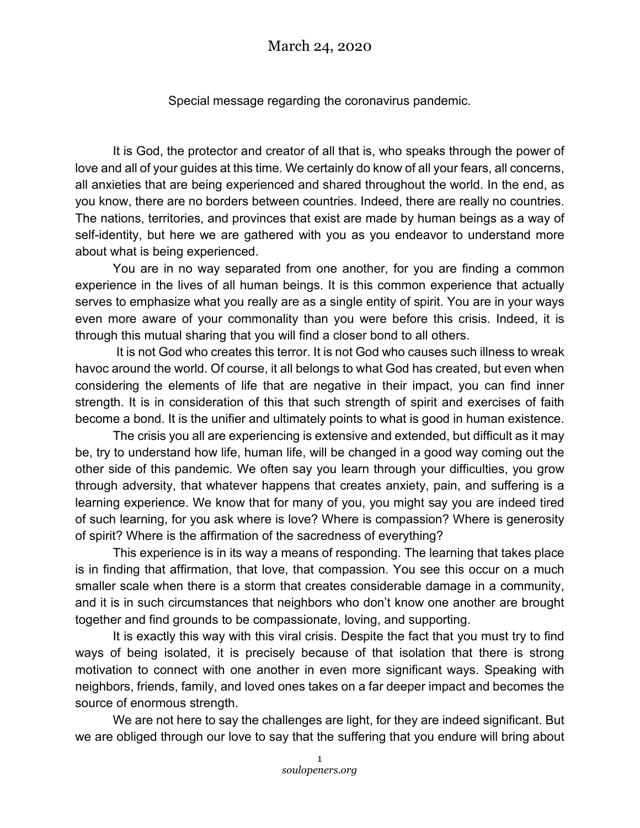Special message regarding the coronavirus pandemic.

It is God, the protector and creator of all that is, who speaks through the power of love and all of your guides at this time. We certainly do know of all your fears, all concerns, all anxieties that are being experienced and shared throughout the world. In the end, as you know, there are no borders between countries. Indeed, there are really no countries. The nations, territories, and provinces that exist are made by human beings as a way of self-identity, but here we are gathered with you as you endeavor to understand more about what is being experienced.

You are in no way separated from one another, for you are finding a common experience in the lives of all human beings. It is this common experience that actually serves to emphasize what you really are as a single entity of spirit. You are in your ways even more aware of your commonality than you were before this crisis. Indeed, it is through this mutual sharing that you will find a closer bond to all others.

It is not God who creates this terror. It is not God who causes such illness to wreak havoc around the world. Of course, it all belongs to what God has created, but even when considering the elements of life that are negative in their impact, you can find inner strength. It is in consideration of this that such strength of spirit and exercises of faith become a bond. It is the unifier and ultimately points to what is good in human existence.

The crisis you all are experiencing is extensive and extended, but difficult as it may be, try to understand how life, human life, will be changed in a good way coming out the other side of this pandemic. We often say you learn through your difficulties, you grow through adversity, that whatever happens that creates anxiety, pain, and suffering is a learning experience. We know that for many of you, you might say you are indeed tired of such learning, for you ask where is love? Where is compassion? Where is generosity of spirit? Where is the affirmation of the sacredness of everything?

This experience is in its way a means of responding. The learning that takes place is in finding that affirmation, that love, that compassion. You see this occur on a much smaller scale when there is a storm that creates considerable damage in a community, and it is in such circumstances that neighbors who don't know one another are brought together and find grounds to be compassionate, loving, and supporting.

It is exactly this way with this viral crisis. Despite the fact that you must try to find ways of being isolated, it is precisely because of that isolation that there is strong motivation to connect with one another in even more significant ways. Speaking with neighbors, friends, family, and loved ones takes on a far deeper impact and becomes the source of enormous strength.

We are not here to say the challenges are light, for they are indeed significant. But we are obliged through our love to say that the suffering that you endure will bring about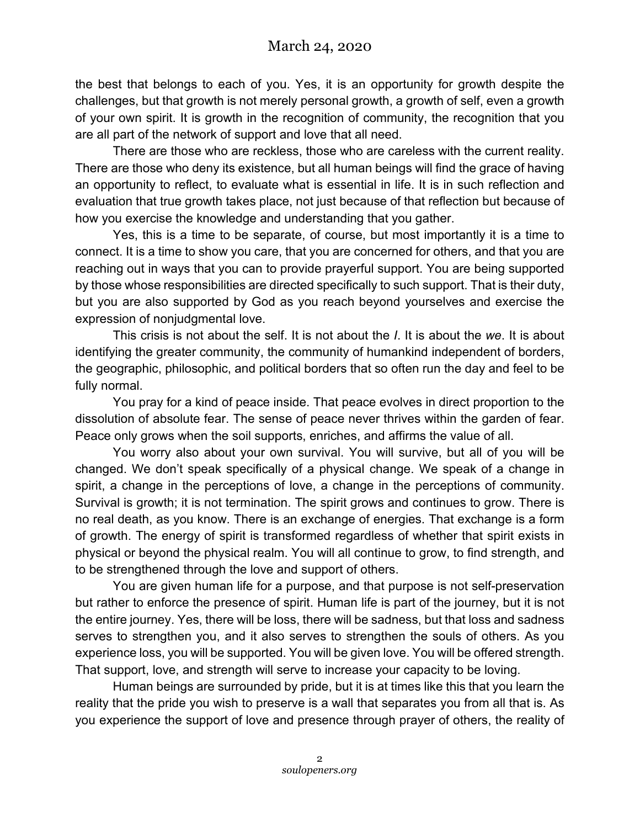the best that belongs to each of you. Yes, it is an opportunity for growth despite the challenges, but that growth is not merely personal growth, a growth of self, even a growth of your own spirit. It is growth in the recognition of community, the recognition that you are all part of the network of support and love that all need.

There are those who are reckless, those who are careless with the current reality. There are those who deny its existence, but all human beings will find the grace of having an opportunity to reflect, to evaluate what is essential in life. It is in such reflection and evaluation that true growth takes place, not just because of that reflection but because of how you exercise the knowledge and understanding that you gather.

Yes, this is a time to be separate, of course, but most importantly it is a time to connect. It is a time to show you care, that you are concerned for others, and that you are reaching out in ways that you can to provide prayerful support. You are being supported by those whose responsibilities are directed specifically to such support. That is their duty, but you are also supported by God as you reach beyond yourselves and exercise the expression of nonjudgmental love.

This crisis is not about the self. It is not about the *I*. It is about the *we*. It is about identifying the greater community, the community of humankind independent of borders, the geographic, philosophic, and political borders that so often run the day and feel to be fully normal.

You pray for a kind of peace inside. That peace evolves in direct proportion to the dissolution of absolute fear. The sense of peace never thrives within the garden of fear. Peace only grows when the soil supports, enriches, and affirms the value of all.

You worry also about your own survival. You will survive, but all of you will be changed. We don't speak specifically of a physical change. We speak of a change in spirit, a change in the perceptions of love, a change in the perceptions of community. Survival is growth; it is not termination. The spirit grows and continues to grow. There is no real death, as you know. There is an exchange of energies. That exchange is a form of growth. The energy of spirit is transformed regardless of whether that spirit exists in physical or beyond the physical realm. You will all continue to grow, to find strength, and to be strengthened through the love and support of others.

You are given human life for a purpose, and that purpose is not self-preservation but rather to enforce the presence of spirit. Human life is part of the journey, but it is not the entire journey. Yes, there will be loss, there will be sadness, but that loss and sadness serves to strengthen you, and it also serves to strengthen the souls of others. As you experience loss, you will be supported. You will be given love. You will be offered strength. That support, love, and strength will serve to increase your capacity to be loving.

Human beings are surrounded by pride, but it is at times like this that you learn the reality that the pride you wish to preserve is a wall that separates you from all that is. As you experience the support of love and presence through prayer of others, the reality of